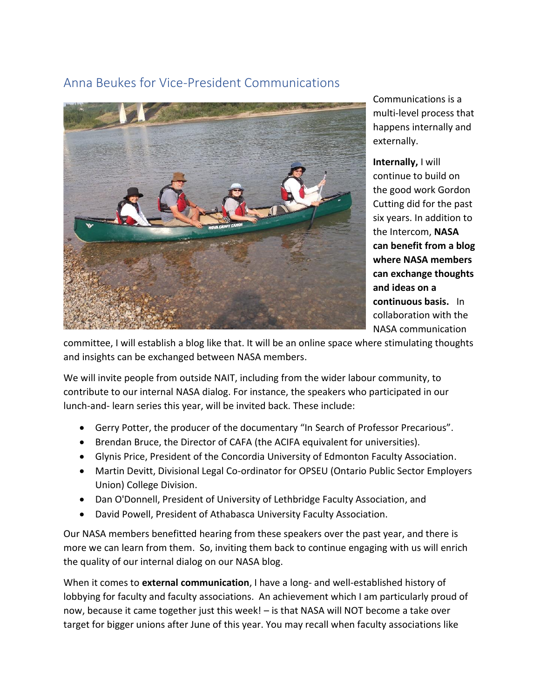## Anna Beukes for Vice-President Communications



Communications is a multi-level process that happens internally and externally.

**Internally,** I will continue to build on the good work Gordon Cutting did for the past six years. In addition to the Intercom, **NASA can benefit from a blog where NASA members can exchange thoughts and ideas on a continuous basis.** In collaboration with the NASA communication

committee, I will establish a blog like that. It will be an online space where stimulating thoughts and insights can be exchanged between NASA members.

We will invite people from outside NAIT, including from the wider labour community, to contribute to our internal NASA dialog. For instance, the speakers who participated in our lunch-and- learn series this year, will be invited back. These include:

- Gerry Potter, the producer of the documentary "In Search of Professor Precarious".
- Brendan Bruce, the Director of CAFA (the ACIFA equivalent for universities).
- Glynis Price, President of the Concordia University of Edmonton Faculty Association.
- Martin Devitt, Divisional Legal Co-ordinator for OPSEU (Ontario Public Sector Employers Union) College Division.
- Dan O'Donnell, President of University of Lethbridge Faculty Association, and
- David Powell, President of Athabasca University Faculty Association.

Our NASA members benefitted hearing from these speakers over the past year, and there is more we can learn from them. So, inviting them back to continue engaging with us will enrich the quality of our internal dialog on our NASA blog.

When it comes to **external communication**, I have a long- and well-established history of lobbying for faculty and faculty associations. An achievement which I am particularly proud of now, because it came together just this week! – is that NASA will NOT become a take over target for bigger unions after June of this year. You may recall when faculty associations like